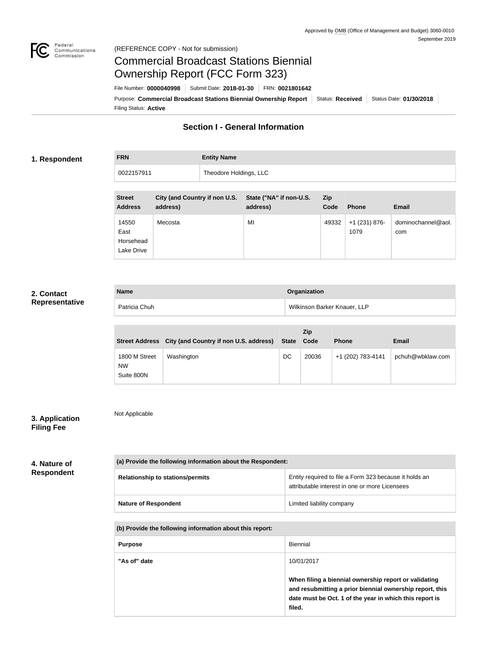

Not Applicable

# Commercial Broadcast Stations Biennial Ownership Report (FCC Form 323)

Filing Status: **Active** Purpose: Commercial Broadcast Stations Biennial Ownership Report Status: Received Status Date: 01/30/2018 File Number: **0000040998** Submit Date: **2018-01-30** FRN: **0021801642**

## **Section I - General Information**

#### **1. Respondent**

| <b>FRN</b> | <b>Entity Name</b>     |
|------------|------------------------|
| 0022157911 | Theodore Holdings, LLC |

| <b>Street</b><br><b>Address</b>          | City (and Country if non U.S.<br>address) | State ("NA" if non-U.S.<br>address) | <b>Zip</b><br>Code | <b>Phone</b>            | Email                     |
|------------------------------------------|-------------------------------------------|-------------------------------------|--------------------|-------------------------|---------------------------|
| 14550<br>East<br>Horsehead<br>Lake Drive | Mecosta                                   | MI                                  | 49332              | $+1$ (231) 876-<br>1079 | dominochannel@aol.<br>com |

### **2. Contact Representative**

| <b>Name</b>   | Organization                 |
|---------------|------------------------------|
| Patricia Chuh | Wilkinson Barker Knauer, LLP |

|                                          | Street Address City (and Country if non U.S. address) | State Code | <b>Zip</b> | <b>Phone</b>      | Email            |
|------------------------------------------|-------------------------------------------------------|------------|------------|-------------------|------------------|
| 1800 M Street<br><b>NW</b><br>Suite 800N | Washington                                            | DC         | 20036      | +1 (202) 783-4141 | pchuh@wbklaw.com |

#### **3. Application Filing Fee**

#### **4. Nature of Respondent**

| (a) Provide the following information about the Respondent: |                                                                                                          |  |
|-------------------------------------------------------------|----------------------------------------------------------------------------------------------------------|--|
| <b>Relationship to stations/permits</b>                     | Entity required to file a Form 323 because it holds an<br>attributable interest in one or more Licensees |  |
| <b>Nature of Respondent</b>                                 | Limited liability company                                                                                |  |

#### **(b) Provide the following information about this report:**

| <b>Purpose</b> | Biennial                                                                                                                                                                               |
|----------------|----------------------------------------------------------------------------------------------------------------------------------------------------------------------------------------|
| "As of" date   | 10/01/2017                                                                                                                                                                             |
|                | When filing a biennial ownership report or validating<br>and resubmitting a prior biennial ownership report, this<br>date must be Oct. 1 of the year in which this report is<br>filed. |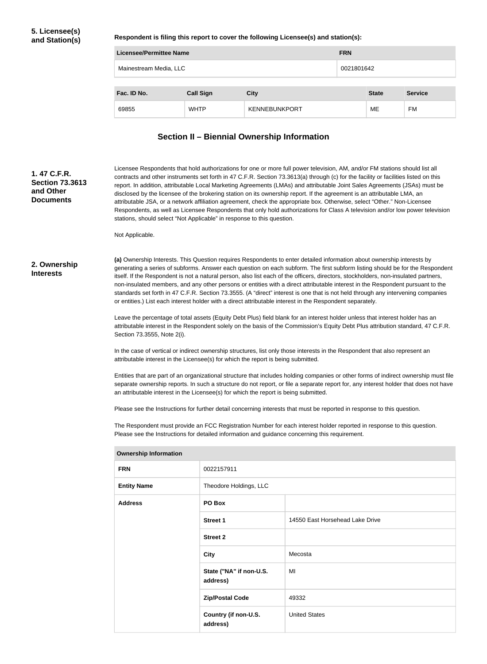**Respondent is filing this report to cover the following Licensee(s) and station(s):**

| Licensee/Permittee Name |                  |               | <b>FRN</b> |              |                |
|-------------------------|------------------|---------------|------------|--------------|----------------|
| Mainestream Media, LLC  |                  | 0021801642    |            |              |                |
|                         |                  |               |            |              |                |
| Fac. ID No.             | <b>Call Sign</b> | <b>City</b>   |            | <b>State</b> | <b>Service</b> |
| 69855                   | <b>WHTP</b>      | KENNEBUNKPORT |            | ME           | FM             |

## **Section II – Biennial Ownership Information**

| 1.47 C.F.R.<br><b>Section 73.3613</b><br>and Other<br><b>Documents</b> |                              | stations, should select "Not Applicable" in response to this question.                                                                                                                                                                                                                                                                                               | Licensee Respondents that hold authorizations for one or more full power television, AM, and/or FM stations should list all<br>contracts and other instruments set forth in 47 C.F.R. Section 73.3613(a) through (c) for the facility or facilities listed on this<br>report. In addition, attributable Local Marketing Agreements (LMAs) and attributable Joint Sales Agreements (JSAs) must be<br>disclosed by the licensee of the brokering station on its ownership report. If the agreement is an attributable LMA, an<br>attributable JSA, or a network affiliation agreement, check the appropriate box. Otherwise, select "Other." Non-Licensee<br>Respondents, as well as Licensee Respondents that only hold authorizations for Class A television and/or low power television |  |  |
|------------------------------------------------------------------------|------------------------------|----------------------------------------------------------------------------------------------------------------------------------------------------------------------------------------------------------------------------------------------------------------------------------------------------------------------------------------------------------------------|------------------------------------------------------------------------------------------------------------------------------------------------------------------------------------------------------------------------------------------------------------------------------------------------------------------------------------------------------------------------------------------------------------------------------------------------------------------------------------------------------------------------------------------------------------------------------------------------------------------------------------------------------------------------------------------------------------------------------------------------------------------------------------------|--|--|
|                                                                        | Not Applicable.              |                                                                                                                                                                                                                                                                                                                                                                      |                                                                                                                                                                                                                                                                                                                                                                                                                                                                                                                                                                                                                                                                                                                                                                                          |  |  |
| 2. Ownership<br><b>Interests</b>                                       |                              |                                                                                                                                                                                                                                                                                                                                                                      | (a) Ownership Interests. This Question requires Respondents to enter detailed information about ownership interests by<br>generating a series of subforms. Answer each question on each subform. The first subform listing should be for the Respondent<br>itself. If the Respondent is not a natural person, also list each of the officers, directors, stockholders, non-insulated partners,<br>non-insulated members, and any other persons or entities with a direct attributable interest in the Respondent pursuant to the<br>standards set forth in 47 C.F.R. Section 73.3555. (A "direct" interest is one that is not held through any intervening companies<br>or entities.) List each interest holder with a direct attributable interest in the Respondent separately.        |  |  |
|                                                                        | Section 73.3555, Note 2(i).  |                                                                                                                                                                                                                                                                                                                                                                      | Leave the percentage of total assets (Equity Debt Plus) field blank for an interest holder unless that interest holder has an<br>attributable interest in the Respondent solely on the basis of the Commission's Equity Debt Plus attribution standard, 47 C.F.R.                                                                                                                                                                                                                                                                                                                                                                                                                                                                                                                        |  |  |
|                                                                        |                              | attributable interest in the Licensee(s) for which the report is being submitted.                                                                                                                                                                                                                                                                                    | In the case of vertical or indirect ownership structures, list only those interests in the Respondent that also represent an                                                                                                                                                                                                                                                                                                                                                                                                                                                                                                                                                                                                                                                             |  |  |
|                                                                        |                              | Entities that are part of an organizational structure that includes holding companies or other forms of indirect ownership must file<br>separate ownership reports. In such a structure do not report, or file a separate report for, any interest holder that does not have<br>an attributable interest in the Licensee(s) for which the report is being submitted. |                                                                                                                                                                                                                                                                                                                                                                                                                                                                                                                                                                                                                                                                                                                                                                                          |  |  |
|                                                                        |                              | Please see the Instructions for detailed information and guidance concerning this requirement.                                                                                                                                                                                                                                                                       | Please see the Instructions for further detail concerning interests that must be reported in response to this question.<br>The Respondent must provide an FCC Registration Number for each interest holder reported in response to this question.                                                                                                                                                                                                                                                                                                                                                                                                                                                                                                                                        |  |  |
|                                                                        | <b>Ownership Information</b> |                                                                                                                                                                                                                                                                                                                                                                      |                                                                                                                                                                                                                                                                                                                                                                                                                                                                                                                                                                                                                                                                                                                                                                                          |  |  |
|                                                                        | <b>FRN</b>                   | 0022157911                                                                                                                                                                                                                                                                                                                                                           |                                                                                                                                                                                                                                                                                                                                                                                                                                                                                                                                                                                                                                                                                                                                                                                          |  |  |
|                                                                        | <b>Entity Name</b>           | Theodore Holdings, LLC                                                                                                                                                                                                                                                                                                                                               |                                                                                                                                                                                                                                                                                                                                                                                                                                                                                                                                                                                                                                                                                                                                                                                          |  |  |
|                                                                        | <b>Address</b>               | PO Box                                                                                                                                                                                                                                                                                                                                                               |                                                                                                                                                                                                                                                                                                                                                                                                                                                                                                                                                                                                                                                                                                                                                                                          |  |  |
|                                                                        |                              | <b>Street 1</b>                                                                                                                                                                                                                                                                                                                                                      | 14550 East Horsehead Lake Drive                                                                                                                                                                                                                                                                                                                                                                                                                                                                                                                                                                                                                                                                                                                                                          |  |  |
|                                                                        |                              | <b>Street 2</b>                                                                                                                                                                                                                                                                                                                                                      |                                                                                                                                                                                                                                                                                                                                                                                                                                                                                                                                                                                                                                                                                                                                                                                          |  |  |
|                                                                        |                              | <b>City</b>                                                                                                                                                                                                                                                                                                                                                          | Mecosta                                                                                                                                                                                                                                                                                                                                                                                                                                                                                                                                                                                                                                                                                                                                                                                  |  |  |
|                                                                        |                              | State ("NA" if non-U.S.<br>address)                                                                                                                                                                                                                                                                                                                                  | MI                                                                                                                                                                                                                                                                                                                                                                                                                                                                                                                                                                                                                                                                                                                                                                                       |  |  |
|                                                                        |                              | <b>Zip/Postal Code</b>                                                                                                                                                                                                                                                                                                                                               | 49332                                                                                                                                                                                                                                                                                                                                                                                                                                                                                                                                                                                                                                                                                                                                                                                    |  |  |
|                                                                        |                              | Country (if non-U.S.<br>address)                                                                                                                                                                                                                                                                                                                                     | <b>United States</b>                                                                                                                                                                                                                                                                                                                                                                                                                                                                                                                                                                                                                                                                                                                                                                     |  |  |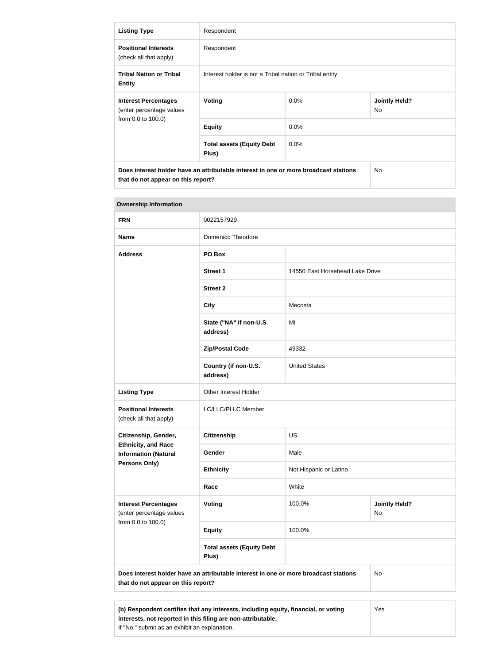| <b>Listing Type</b>                                                           | Respondent                                                                           |         |                                   |
|-------------------------------------------------------------------------------|--------------------------------------------------------------------------------------|---------|-----------------------------------|
| <b>Positional Interests</b><br>(check all that apply)                         | Respondent                                                                           |         |                                   |
| <b>Tribal Nation or Tribal</b><br><b>Entity</b>                               | Interest holder is not a Tribal nation or Tribal entity                              |         |                                   |
| <b>Interest Percentages</b><br>(enter percentage values<br>from 0.0 to 100.0) | Voting                                                                               | $0.0\%$ | <b>Jointly Held?</b><br><b>No</b> |
|                                                                               | <b>Equity</b>                                                                        | $0.0\%$ |                                   |
|                                                                               | <b>Total assets (Equity Debt</b><br>Plus)                                            | $0.0\%$ |                                   |
| that do not appear on this report?                                            | Does interest holder have an attributable interest in one or more broadcast stations |         | <b>No</b>                         |

| <b>Ownership Information</b>                                                                                                                               |                                                                                      |                                 |                            |  |
|------------------------------------------------------------------------------------------------------------------------------------------------------------|--------------------------------------------------------------------------------------|---------------------------------|----------------------------|--|
| <b>FRN</b>                                                                                                                                                 | 0022157929                                                                           |                                 |                            |  |
| <b>Name</b>                                                                                                                                                | <b>Domenico Theodore</b>                                                             |                                 |                            |  |
| <b>Address</b>                                                                                                                                             | PO Box                                                                               |                                 |                            |  |
|                                                                                                                                                            | <b>Street 1</b>                                                                      | 14550 East Horsehead Lake Drive |                            |  |
|                                                                                                                                                            | <b>Street 2</b>                                                                      |                                 |                            |  |
|                                                                                                                                                            | <b>City</b>                                                                          | Mecosta                         |                            |  |
|                                                                                                                                                            | State ("NA" if non-U.S.<br>address)                                                  | MI                              |                            |  |
|                                                                                                                                                            | <b>Zip/Postal Code</b>                                                               | 49332                           |                            |  |
|                                                                                                                                                            | Country (if non-U.S.<br>address)                                                     | <b>United States</b>            |                            |  |
| <b>Listing Type</b>                                                                                                                                        | Other Interest Holder                                                                |                                 |                            |  |
| <b>Positional Interests</b><br>(check all that apply)                                                                                                      | LC/LLC/PLLC Member                                                                   |                                 |                            |  |
| Citizenship, Gender,                                                                                                                                       | <b>Citizenship</b>                                                                   | <b>US</b>                       |                            |  |
| <b>Ethnicity, and Race</b><br><b>Information (Natural</b>                                                                                                  | Gender                                                                               | Male                            |                            |  |
| Persons Only)                                                                                                                                              | <b>Ethnicity</b>                                                                     | Not Hispanic or Latino          |                            |  |
|                                                                                                                                                            | Race                                                                                 | White                           |                            |  |
| <b>Interest Percentages</b><br>(enter percentage values                                                                                                    | <b>Voting</b>                                                                        | 100.0%                          | <b>Jointly Held?</b><br>No |  |
| from 0.0 to 100.0)                                                                                                                                         | <b>Equity</b>                                                                        | 100.0%                          |                            |  |
|                                                                                                                                                            | <b>Total assets (Equity Debt</b><br>Plus)                                            |                                 |                            |  |
| that do not appear on this report?                                                                                                                         | Does interest holder have an attributable interest in one or more broadcast stations |                                 | No                         |  |
|                                                                                                                                                            |                                                                                      |                                 |                            |  |
| (b) Respondent certifies that any interests, including equity, financial, or voting<br>Yes<br>interests, not reported in this filing are non-attributable. |                                                                                      |                                 |                            |  |

If "No," submit as an exhibit an explanation.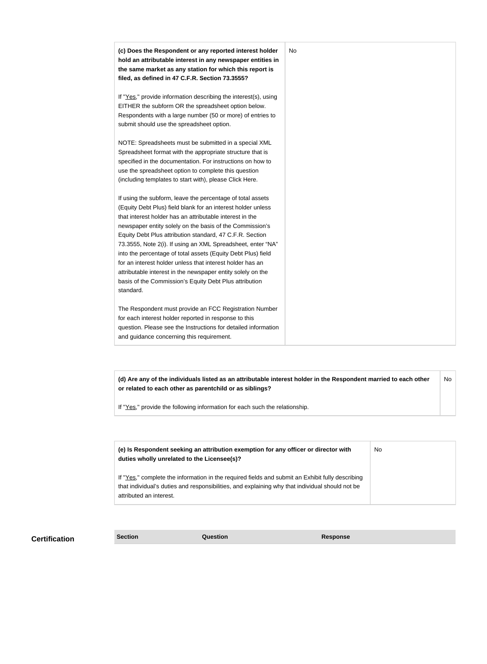| (c) Does the Respondent or any reported interest holder<br>hold an attributable interest in any newspaper entities in<br>the same market as any station for which this report is<br>filed, as defined in 47 C.F.R. Section 73.3555?                                                                                                                                                                                                                                                                                                                                                                                                              | No. |
|--------------------------------------------------------------------------------------------------------------------------------------------------------------------------------------------------------------------------------------------------------------------------------------------------------------------------------------------------------------------------------------------------------------------------------------------------------------------------------------------------------------------------------------------------------------------------------------------------------------------------------------------------|-----|
| If "Yes," provide information describing the interest(s), using<br>EITHER the subform OR the spreadsheet option below.<br>Respondents with a large number (50 or more) of entries to<br>submit should use the spreadsheet option.                                                                                                                                                                                                                                                                                                                                                                                                                |     |
| NOTE: Spreadsheets must be submitted in a special XML<br>Spreadsheet format with the appropriate structure that is<br>specified in the documentation. For instructions on how to<br>use the spreadsheet option to complete this question<br>(including templates to start with), please Click Here.                                                                                                                                                                                                                                                                                                                                              |     |
| If using the subform, leave the percentage of total assets<br>(Equity Debt Plus) field blank for an interest holder unless<br>that interest holder has an attributable interest in the<br>newspaper entity solely on the basis of the Commission's<br>Equity Debt Plus attribution standard, 47 C.F.R. Section<br>73.3555, Note 2(i). If using an XML Spreadsheet, enter "NA"<br>into the percentage of total assets (Equity Debt Plus) field<br>for an interest holder unless that interest holder has an<br>attributable interest in the newspaper entity solely on the<br>basis of the Commission's Equity Debt Plus attribution<br>standard. |     |
| The Respondent must provide an FCC Registration Number<br>for each interest holder reported in response to this<br>question. Please see the Instructions for detailed information<br>and guidance concerning this requirement.                                                                                                                                                                                                                                                                                                                                                                                                                   |     |

**(d) Are any of the individuals listed as an attributable interest holder in the Respondent married to each other or related to each other as parentchild or as siblings?** No

If "Yes," provide the following information for each such the relationship.

| (e) Is Respondent seeking an attribution exemption for any officer or director with<br>duties wholly unrelated to the Licensee(s)?                                                                                             | No |
|--------------------------------------------------------------------------------------------------------------------------------------------------------------------------------------------------------------------------------|----|
| If "Yes," complete the information in the required fields and submit an Exhibit fully describing<br>that individual's duties and responsibilities, and explaining why that individual should not be<br>attributed an interest. |    |

**Certification Section Section Question** *Question* **Response**